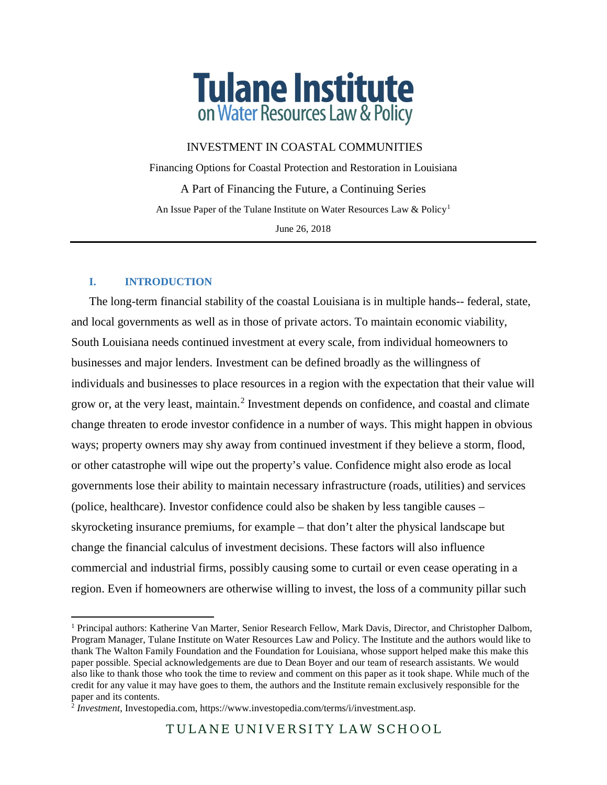

INVESTMENT IN COASTAL COMMUNITIES

Financing Options for Coastal Protection and Restoration in Louisiana A Part of Financing the Future, a Continuing Series An Issue Paper of the Tulane Institute on Water Resources Law & Policy<sup>[1](#page-0-0)</sup> June 26, 2018

## **I. INTRODUCTION**

l

The long-term financial stability of the coastal Louisiana is in multiple hands-- federal, state, and local governments as well as in those of private actors. To maintain economic viability, South Louisiana needs continued investment at every scale, from individual homeowners to businesses and major lenders. Investment can be defined broadly as the willingness of individuals and businesses to place resources in a region with the expectation that their value will grow or, at the very least, maintain.<sup>[2](#page-0-1)</sup> Investment depends on confidence, and coastal and climate change threaten to erode investor confidence in a number of ways. This might happen in obvious ways; property owners may shy away from continued investment if they believe a storm, flood, or other catastrophe will wipe out the property's value. Confidence might also erode as local governments lose their ability to maintain necessary infrastructure (roads, utilities) and services (police, healthcare). Investor confidence could also be shaken by less tangible causes – skyrocketing insurance premiums, for example – that don't alter the physical landscape but change the financial calculus of investment decisions. These factors will also influence commercial and industrial firms, possibly causing some to curtail or even cease operating in a region. Even if homeowners are otherwise willing to invest, the loss of a community pillar such

<span id="page-0-0"></span><sup>1</sup> Principal authors: Katherine Van Marter, Senior Research Fellow, Mark Davis, Director, and Christopher Dalbom, Program Manager, Tulane Institute on Water Resources Law and Policy. The Institute and the authors would like to thank The Walton Family Foundation and the Foundation for Louisiana, whose support helped make this make this paper possible. Special acknowledgements are due to Dean Boyer and our team of research assistants. We would also like to thank those who took the time to review and comment on this paper as it took shape. While much of the credit for any value it may have goes to them, the authors and the Institute remain exclusively responsible for the paper and its contents.

<span id="page-0-1"></span><sup>&</sup>lt;sup>2</sup> *Investment*, Investopedia.com, https://www.investopedia.com/terms/i/investment.asp.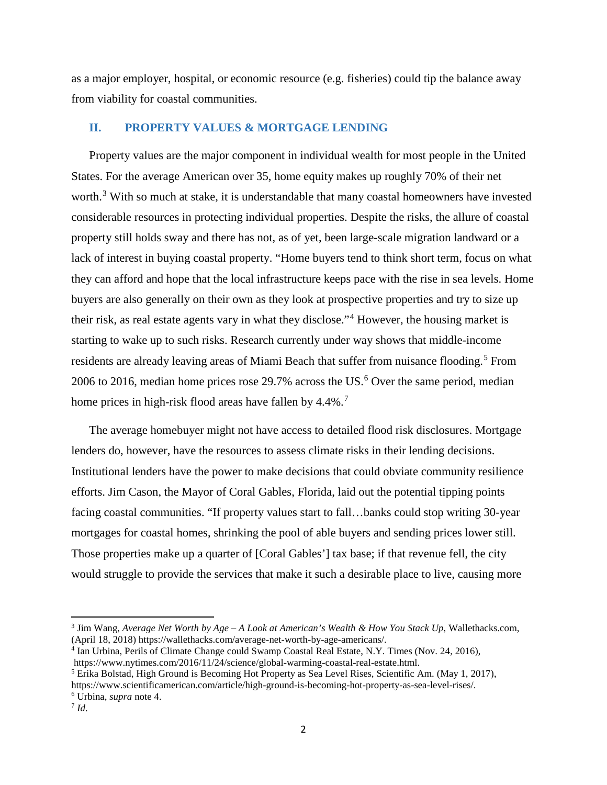as a major employer, hospital, or economic resource (e.g. fisheries) could tip the balance away from viability for coastal communities.

## **II. PROPERTY VALUES & MORTGAGE LENDING**

Property values are the major component in individual wealth for most people in the United States. For the average American over 35, home equity makes up roughly 70% of their net worth.<sup>[3](#page-1-0)</sup> With so much at stake, it is understandable that many coastal homeowners have invested considerable resources in protecting individual properties. Despite the risks, the allure of coastal property still holds sway and there has not, as of yet, been large-scale migration landward or a lack of interest in buying coastal property. "Home buyers tend to think short term, focus on what they can afford and hope that the local infrastructure keeps pace with the rise in sea levels. Home buyers are also generally on their own as they look at prospective properties and try to size up their risk, as real estate agents vary in what they disclose."[4](#page-1-1) However, the housing market is starting to wake up to such risks. Research currently under way shows that middle-income residents are already leaving areas of Miami Beach that suffer from nuisance flooding.<sup>[5](#page-1-2)</sup> From 200[6](#page-1-3) to 2016, median home prices rose  $29.7\%$  across the US.<sup>6</sup> Over the same period, median home prices in high-risk flood areas have fallen by 4.4%.<sup>[7](#page-1-4)</sup>

The average homebuyer might not have access to detailed flood risk disclosures. Mortgage lenders do, however, have the resources to assess climate risks in their lending decisions. Institutional lenders have the power to make decisions that could obviate community resilience efforts. Jim Cason, the Mayor of Coral Gables, Florida, laid out the potential tipping points facing coastal communities. "If property values start to fall…banks could stop writing 30-year mortgages for coastal homes, shrinking the pool of able buyers and sending prices lower still. Those properties make up a quarter of [Coral Gables'] tax base; if that revenue fell, the city would struggle to provide the services that make it such a desirable place to live, causing more

<span id="page-1-0"></span><sup>3</sup> Jim Wang, *Average Net Worth by Age – A Look at American's Wealth & How You Stack Up*, Wallethacks.com, (April 18, 2018) https://wallethacks.com/average-net-worth-by-age-americans/.

<span id="page-1-1"></span><sup>4</sup> Ian Urbina, Perils of Climate Change could Swamp Coastal Real Estate, N.Y. Times (Nov. 24, 2016), https://www.nytimes.com/2016/11/24/science/global-warming-coastal-real-estate.html.

<span id="page-1-2"></span><sup>5</sup> Erika Bolstad, High Ground is Becoming Hot Property as Sea Level Rises, Scientific Am. (May 1, 2017), https://www.scientificamerican.com/article/high-ground-is-becoming-hot-property-as-sea-level-rises/.

<span id="page-1-3"></span><sup>6</sup> Urbina, *supra* note 4.

<span id="page-1-4"></span> $^7$  *Id.*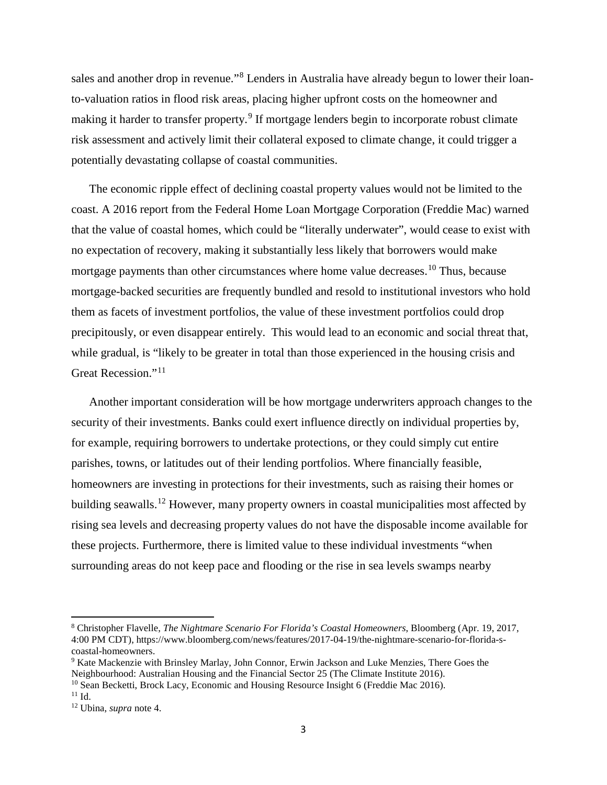sales and another drop in revenue."<sup>[8](#page-2-0)</sup> Lenders in Australia have already begun to lower their loanto-valuation ratios in flood risk areas, placing higher upfront costs on the homeowner and making it harder to transfer property.<sup>[9](#page-2-1)</sup> If mortgage lenders begin to incorporate robust climate risk assessment and actively limit their collateral exposed to climate change, it could trigger a potentially devastating collapse of coastal communities.

The economic ripple effect of declining coastal property values would not be limited to the coast. A 2016 report from the Federal Home Loan Mortgage Corporation (Freddie Mac) warned that the value of coastal homes, which could be "literally underwater", would cease to exist with no expectation of recovery, making it substantially less likely that borrowers would make mortgage payments than other circumstances where home value decreases.<sup>[10](#page-2-2)</sup> Thus, because mortgage-backed securities are frequently bundled and resold to institutional investors who hold them as facets of investment portfolios, the value of these investment portfolios could drop precipitously, or even disappear entirely. This would lead to an economic and social threat that, while gradual, is "likely to be greater in total than those experienced in the housing crisis and Great Recession."[11](#page-2-3)

Another important consideration will be how mortgage underwriters approach changes to the security of their investments. Banks could exert influence directly on individual properties by, for example, requiring borrowers to undertake protections, or they could simply cut entire parishes, towns, or latitudes out of their lending portfolios. Where financially feasible, homeowners are investing in protections for their investments, such as raising their homes or building seawalls.<sup>[12](#page-2-4)</sup> However, many property owners in coastal municipalities most affected by rising sea levels and decreasing property values do not have the disposable income available for these projects. Furthermore, there is limited value to these individual investments "when surrounding areas do not keep pace and flooding or the rise in sea levels swamps nearby

<span id="page-2-0"></span><sup>8</sup> Christopher Flavelle, *The Nightmare Scenario For Florida's Coastal Homeowners*, Bloomberg (Apr. 19, 2017, 4:00 PM CDT), https://www.bloomberg.com/news/features/2017-04-19/the-nightmare-scenario-for-florida-scoastal-homeowners.

<span id="page-2-1"></span><sup>9</sup> Kate Mackenzie with Brinsley Marlay, John Connor, Erwin Jackson and Luke Menzies, There Goes the Neighbourhood: Australian Housing and the Financial Sector 25 (The Climate Institute 2016).

<span id="page-2-2"></span><sup>&</sup>lt;sup>10</sup> Sean Becketti, Brock Lacy, Economic and Housing Resource Insight 6 (Freddie Mac 2016).

<span id="page-2-3"></span> $11$  Id.

<span id="page-2-4"></span><sup>12</sup> Ubina, *supra* note 4.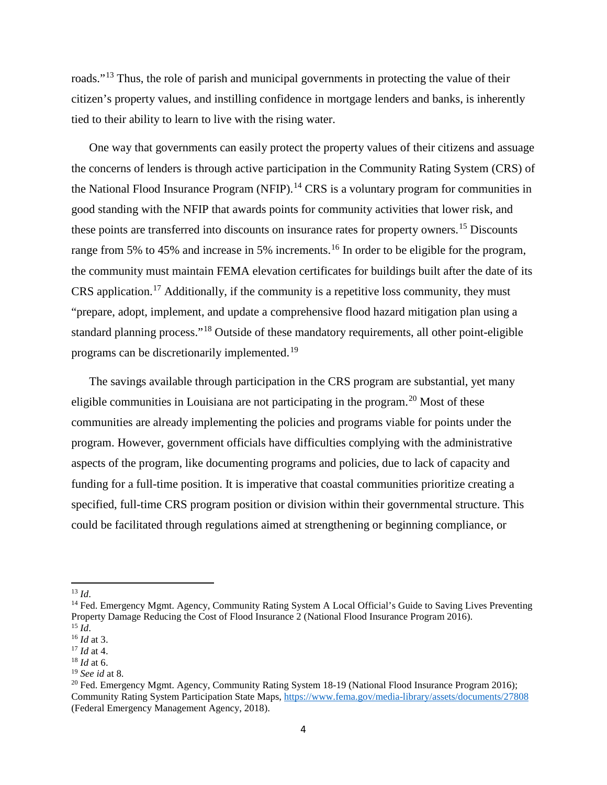roads."<sup>[13](#page-3-0)</sup> Thus, the role of parish and municipal governments in protecting the value of their citizen's property values, and instilling confidence in mortgage lenders and banks, is inherently tied to their ability to learn to live with the rising water.

One way that governments can easily protect the property values of their citizens and assuage the concerns of lenders is through active participation in the Community Rating System (CRS) of the National Flood Insurance Program (NFIP).<sup>[14](#page-3-1)</sup> CRS is a voluntary program for communities in good standing with the NFIP that awards points for community activities that lower risk, and these points are transferred into discounts on insurance rates for property owners. [15](#page-3-2) Discounts range from 5% to 45% and increase in 5% increments.<sup>[16](#page-3-3)</sup> In order to be eligible for the program, the community must maintain FEMA elevation certificates for buildings built after the date of its CRS application.[17](#page-3-4) Additionally, if the community is a repetitive loss community, they must "prepare, adopt, implement, and update a comprehensive flood hazard mitigation plan using a standard planning process."<sup>[18](#page-3-5)</sup> Outside of these mandatory requirements, all other point-eligible programs can be discretionarily implemented.[19](#page-3-6)

The savings available through participation in the CRS program are substantial, yet many eligible communities in Louisiana are not participating in the program.<sup>[20](#page-3-7)</sup> Most of these communities are already implementing the policies and programs viable for points under the program. However, government officials have difficulties complying with the administrative aspects of the program, like documenting programs and policies, due to lack of capacity and funding for a full-time position. It is imperative that coastal communities prioritize creating a specified, full-time CRS program position or division within their governmental structure. This could be facilitated through regulations aimed at strengthening or beginning compliance, or

 $\overline{\phantom{a}}$ 

<sup>13</sup> *Id*.

<span id="page-3-1"></span><span id="page-3-0"></span><sup>&</sup>lt;sup>14</sup> Fed. Emergency Mgmt. Agency, Community Rating System A Local Official's Guide to Saving Lives Preventing Property Damage Reducing the Cost of Flood Insurance 2 (National Flood Insurance Program 2016). <sup>15</sup> *Id*.

<span id="page-3-3"></span><span id="page-3-2"></span><sup>16</sup> *Id* at 3.

<span id="page-3-4"></span><sup>17</sup> *Id* at 4.

<span id="page-3-5"></span><sup>18</sup> *Id* at 6.

<span id="page-3-6"></span><sup>19</sup> *See id* at 8.

<span id="page-3-7"></span><sup>&</sup>lt;sup>20</sup> Fed. Emergency Mgmt. Agency, Community Rating System 18-19 (National Flood Insurance Program 2016); Community Rating System Participation State Maps[, https://www.fema.gov/media-library/assets/documents/27808](https://www.fema.gov/media-library/assets/documents/27808) (Federal Emergency Management Agency, 2018).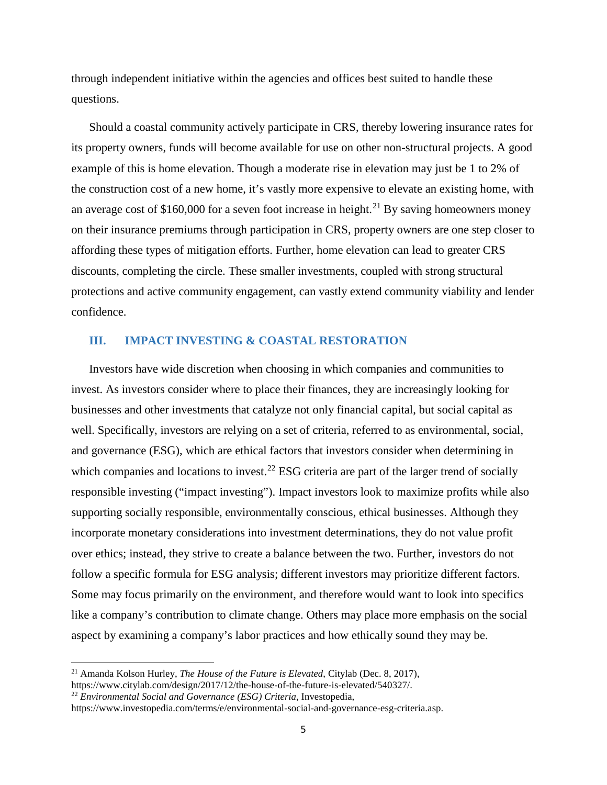through independent initiative within the agencies and offices best suited to handle these questions.

Should a coastal community actively participate in CRS, thereby lowering insurance rates for its property owners, funds will become available for use on other non-structural projects. A good example of this is home elevation. Though a moderate rise in elevation may just be 1 to 2% of the construction cost of a new home, it's vastly more expensive to elevate an existing home, with an average cost of \$160,000 for a seven foot increase in height.<sup>[21](#page-4-0)</sup> By saving homeowners money on their insurance premiums through participation in CRS, property owners are one step closer to affording these types of mitigation efforts. Further, home elevation can lead to greater CRS discounts, completing the circle. These smaller investments, coupled with strong structural protections and active community engagement, can vastly extend community viability and lender confidence.

## **III. IMPACT INVESTING & COASTAL RESTORATION**

Investors have wide discretion when choosing in which companies and communities to invest. As investors consider where to place their finances, they are increasingly looking for businesses and other investments that catalyze not only financial capital, but social capital as well. Specifically, investors are relying on a set of criteria, referred to as environmental, social, and governance (ESG), which are ethical factors that investors consider when determining in which companies and locations to invest.<sup>[22](#page-4-1)</sup> ESG criteria are part of the larger trend of socially responsible investing ("impact investing"). Impact investors look to maximize profits while also supporting socially responsible, environmentally conscious, ethical businesses. Although they incorporate monetary considerations into investment determinations, they do not value profit over ethics; instead, they strive to create a balance between the two. Further, investors do not follow a specific formula for ESG analysis; different investors may prioritize different factors. Some may focus primarily on the environment, and therefore would want to look into specifics like a company's contribution to climate change. Others may place more emphasis on the social aspect by examining a company's labor practices and how ethically sound they may be.

<span id="page-4-1"></span><sup>22</sup> *Environmental Social and Governance (ESG) Criteria*, Investopedia,

<span id="page-4-0"></span><sup>21</sup> Amanda Kolson Hurley, *The House of the Future is Elevated*, Citylab (Dec. 8, 2017), https://www.citylab.com/design/2017/12/the-house-of-the-future-is-elevated/540327/.

https://www.investopedia.com/terms/e/environmental-social-and-governance-esg-criteria.asp.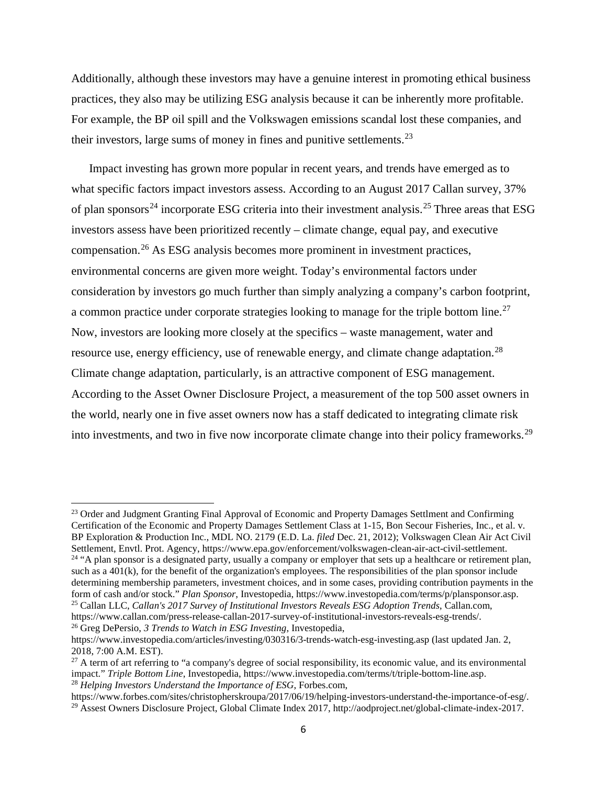Additionally, although these investors may have a genuine interest in promoting ethical business practices, they also may be utilizing ESG analysis because it can be inherently more profitable. For example, the BP oil spill and the Volkswagen emissions scandal lost these companies, and their investors, large sums of money in fines and punitive settlements.<sup>23</sup>

Impact investing has grown more popular in recent years, and trends have emerged as to what specific factors impact investors assess. According to an August 2017 Callan survey, 37% of plan sponsors<sup>[24](#page-5-1)</sup> incorporate ESG criteria into their investment analysis.<sup>[25](#page-5-2)</sup> Three areas that ESG investors assess have been prioritized recently – climate change, equal pay, and executive compensation.[26](#page-5-3) As ESG analysis becomes more prominent in investment practices, environmental concerns are given more weight. Today's environmental factors under consideration by investors go much further than simply analyzing a company's carbon footprint, a common practice under corporate strategies looking to manage for the triple bottom line.<sup>[27](#page-5-4)</sup> Now, investors are looking more closely at the specifics – waste management, water and resource use, energy efficiency, use of renewable energy, and climate change adaptation.<sup>[28](#page-5-5)</sup> Climate change adaptation, particularly, is an attractive component of ESG management. According to the Asset Owner Disclosure Project, a measurement of the top 500 asset owners in the world, nearly one in five asset owners now has a staff dedicated to integrating climate risk into investments, and two in five now incorporate climate change into their policy frameworks.<sup>[29](#page-5-6)</sup>

 $\overline{a}$ 

<span id="page-5-1"></span><span id="page-5-0"></span><sup>&</sup>lt;sup>23</sup> Order and Judgment Granting Final Approval of Economic and Property Damages Settlment and Confirming Certification of the Economic and Property Damages Settlement Class at 1-15, Bon Secour Fisheries, Inc., et al. v. BP Exploration & Production Inc., MDL NO. 2179 (E.D. La. *filed* Dec. 21, 2012); Volkswagen Clean Air Act Civil Settlement, Envtl. Prot. Agency, https://www.epa.gov/enforcement/volkswagen-clean-air-act-civil-settlement. <sup>24</sup> "A plan sponsor is a designated party, usually a company or employer that sets up a healthcare or retirement plan, such as a 401(k), for the benefit of the organization's employees. The responsibilities of the plan sponsor include determining membership parameters, investment choices, and in some cases, providing contribution payments in the form of cash and/or stock." *Plan Sponsor*, Investopedia, https://www.investopedia.com/terms/p/plansponsor.asp. <sup>25</sup> Callan LLC, *Callan's 2017 Survey of Institutional Investors Reveals ESG Adoption Trends*, Callan.com,

<span id="page-5-3"></span><span id="page-5-2"></span>https://www.callan.com/press-release-callan-2017-survey-of-institutional-investors-reveals-esg-trends/. <sup>26</sup> Greg DePersio, *3 Trends to Watch in ESG Investing*, Investopedia,

https://www.investopedia.com/articles/investing/030316/3-trends-watch-esg-investing.asp (last updated Jan. 2, 2018, 7:00 A.M. EST).

<span id="page-5-4"></span><sup>&</sup>lt;sup>27</sup> A term of art referring to "a company's degree of social responsibility, its economic value, and its environmental impact." *Triple Bottom Line*, Investopedia, https://www.investopedia.com/terms/t/triple-bottom-line.asp. <sup>28</sup> *Helping Investors Understand the Importance of ESG*, Forbes.com,

<span id="page-5-6"></span><span id="page-5-5"></span>https://www.forbes.com/sites/christopherskroupa/2017/06/19/helping-investors-understand-the-importance-of-esg/. <sup>29</sup> Assest Owners Disclosure Project, Global Climate Index 2017, http://aodproject.net/global-climate-index-2017.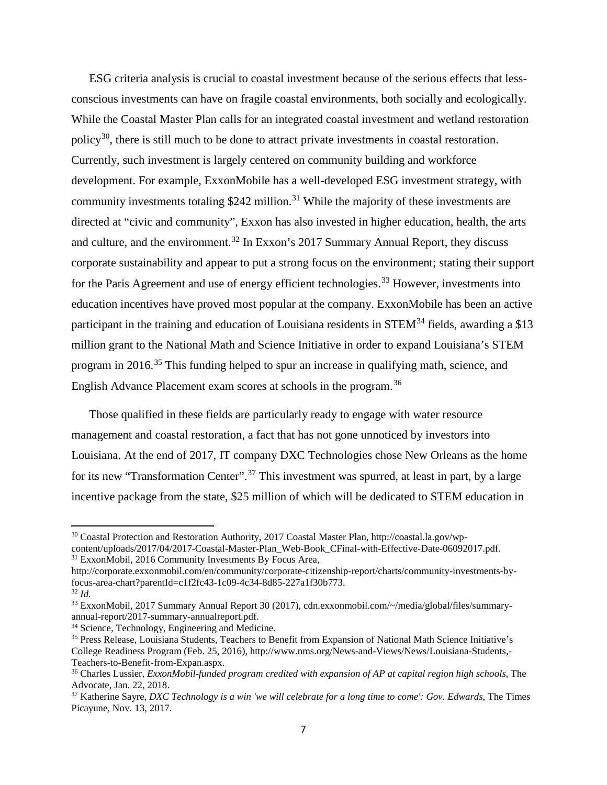ESG criteria analysis is crucial to coastal investment because of the serious effects that lessconscious investments can have on fragile coastal environments, both socially and ecologically. While the Coastal Master Plan calls for an integrated coastal investment and wetland restoration policy<sup>30</sup>, there is still much to be done to attract private investments in coastal restoration. Currently, such investment is largely centered on community building and workforce development. For example, ExxonMobile has a well-developed ESG investment strategy, with community investments totaling  $$242$  million.<sup>[31](#page-6-1)</sup> While the majority of these investments are directed at "civic and community", Exxon has also invested in higher education, health, the arts and culture, and the environment.<sup>[32](#page-6-2)</sup> In Exxon's 2017 Summary Annual Report, they discuss corporate sustainability and appear to put a strong focus on the environment; stating their support for the Paris Agreement and use of energy efficient technologies.<sup>[33](#page-6-3)</sup> However, investments into education incentives have proved most popular at the company. ExxonMobile has been an active participant in the training and education of Louisiana residents in  $STEM<sup>34</sup>$  $STEM<sup>34</sup>$  $STEM<sup>34</sup>$  fields, awarding a \$13 million grant to the National Math and Science Initiative in order to expand Louisiana's STEM program in 2016.[35](#page-6-5) This funding helped to spur an increase in qualifying math, science, and English Advance Placement exam scores at schools in the program.[36](#page-6-6)

Those qualified in these fields are particularly ready to engage with water resource management and coastal restoration, a fact that has not gone unnoticed by investors into Louisiana. At the end of 2017, IT company DXC Technologies chose New Orleans as the home for its new "Transformation Center".<sup>[37](#page-6-7)</sup> This investment was spurred, at least in part, by a large incentive package from the state, \$25 million of which will be dedicated to STEM education in

<span id="page-6-0"></span> $30$  Coastal Protection and Restoration Authority, 2017 Coastal Master Plan, http://coastal.la.gov/wpcontent/uploads/2017/04/2017-Coastal-Master-Plan\_Web-Book\_CFinal-with-Effective-Date-06092017.pdf. <sup>31</sup> ExxonMobil, 2016 Community Investments By Focus Area,

<span id="page-6-1"></span>http://corporate.exxonmobil.com/en/community/corporate-citizenship-report/charts/community-investments-byfocus-area-chart?parentId=c1f2fc43-1c09-4c34-8d85-227a1f30b773.

<span id="page-6-2"></span><sup>32</sup> *Id.* 

<span id="page-6-3"></span><sup>33</sup> ExxonMobil, 2017 Summary Annual Report 30 (2017), cdn.exxonmobil.com/~/media/global/files/summaryannual-report/2017-summary-annualreport.pdf.

<span id="page-6-4"></span><sup>&</sup>lt;sup>34</sup> Science, Technology, Engineering and Medicine.

<span id="page-6-5"></span><sup>35</sup> Press Release, Louisiana Students, Teachers to Benefit from Expansion of National Math Science Initiative's College Readiness Program (Feb. 25, 2016), http://www.nms.org/News-and-Views/News/Louisiana-Students,- Teachers-to-Benefit-from-Expan.aspx.

<span id="page-6-6"></span><sup>36</sup> Charles Lussier, *ExxonMobil-funded program credited with expansion of AP at capital region high schools*, The Advocate, Jan. 22, 2018.

<span id="page-6-7"></span><sup>37</sup> Katherine Sayre, *DXC Technology is a win 'we will celebrate for a long time to come': Gov. Edwards*, The Times Picayune, Nov. 13, 2017.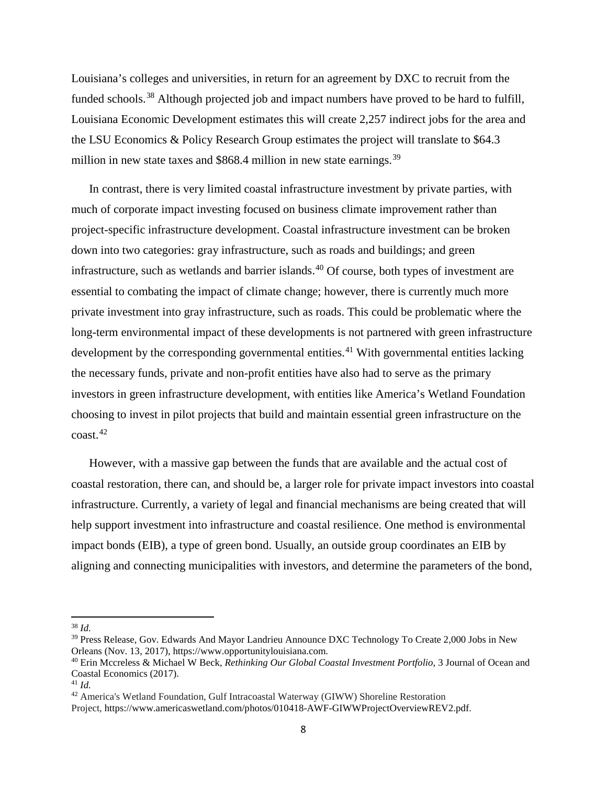Louisiana's colleges and universities, in return for an agreement by DXC to recruit from the funded schools.<sup>[38](#page-7-0)</sup> Although projected job and impact numbers have proved to be hard to fulfill, Louisiana Economic Development estimates this will create 2,257 indirect jobs for the area and the LSU Economics & Policy Research Group estimates the project will translate to \$64.3 million in new state taxes and  $$868.4$  million in new state earnings.<sup>[39](#page-7-1)</sup>

In contrast, there is very limited coastal infrastructure investment by private parties, with much of corporate impact investing focused on business climate improvement rather than project-specific infrastructure development. Coastal infrastructure investment can be broken down into two categories: gray infrastructure, such as roads and buildings; and green infrastructure, such as wetlands and barrier islands.<sup>[40](#page-7-2)</sup> Of course, both types of investment are essential to combating the impact of climate change; however, there is currently much more private investment into gray infrastructure, such as roads. This could be problematic where the long-term environmental impact of these developments is not partnered with green infrastructure development by the corresponding governmental entities.<sup>[41](#page-7-3)</sup> With governmental entities lacking the necessary funds, private and non-profit entities have also had to serve as the primary investors in green infrastructure development, with entities like America's Wetland Foundation choosing to invest in pilot projects that build and maintain essential green infrastructure on the  $\cos t$ <sup>[42](#page-7-4)</sup>

However, with a massive gap between the funds that are available and the actual cost of coastal restoration, there can, and should be, a larger role for private impact investors into coastal infrastructure. Currently, a variety of legal and financial mechanisms are being created that will help support investment into infrastructure and coastal resilience. One method is environmental impact bonds (EIB), a type of green bond. Usually, an outside group coordinates an EIB by aligning and connecting municipalities with investors, and determine the parameters of the bond,

<span id="page-7-0"></span><sup>38</sup> *Id.* 

<span id="page-7-1"></span><sup>&</sup>lt;sup>39</sup> Press Release, Gov. Edwards And Mayor Landrieu Announce DXC Technology To Create 2,000 Jobs in New Orleans (Nov. 13, 2017), https://www.opportunitylouisiana.com.

<span id="page-7-2"></span><sup>40</sup> Erin Mccreless & Michael W Beck, *Rethinking Our Global Coastal Investment Portfolio*, 3 Journal of Ocean and Coastal Economics (2017).

<span id="page-7-3"></span> $41$  *Id.* 

<span id="page-7-4"></span><sup>42</sup> America's Wetland Foundation, Gulf Intracoastal Waterway (GIWW) Shoreline Restoration

Project, https://www.americaswetland.com/photos/010418-AWF-GIWWProjectOverviewREV2.pdf.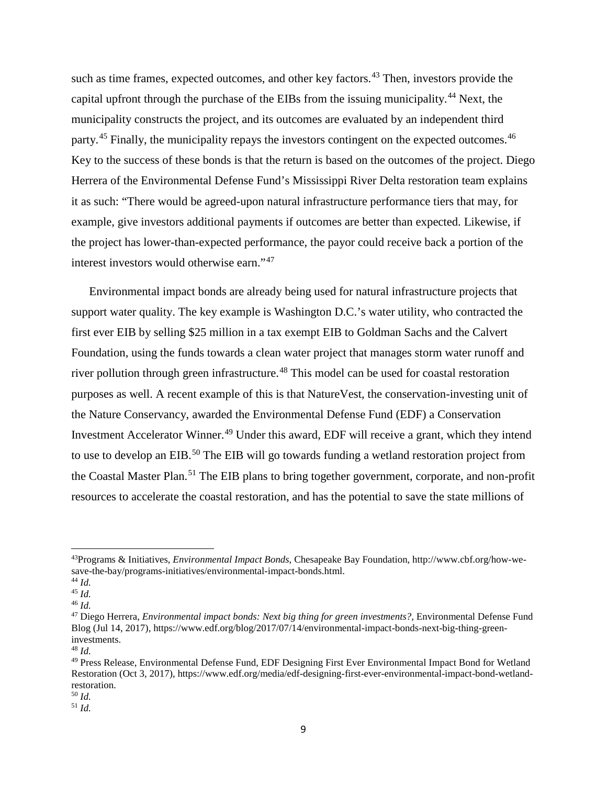such as time frames, expected outcomes, and other key factors.<sup>[43](#page-8-0)</sup> Then, investors provide the capital upfront through the purchase of the EIBs from the issuing municipality.<sup>[44](#page-8-1)</sup> Next, the municipality constructs the project, and its outcomes are evaluated by an independent third party.<sup>[45](#page-8-2)</sup> Finally, the municipality repays the investors contingent on the expected outcomes.<sup>[46](#page-8-3)</sup> Key to the success of these bonds is that the return is based on the outcomes of the project. Diego Herrera of the Environmental Defense Fund's Mississippi River Delta restoration team explains it as such: "There would be agreed-upon natural infrastructure performance tiers that may, for example, give investors additional payments if outcomes are better than expected. Likewise, if the project has lower-than-expected performance, the payor could receive back a portion of the interest investors would otherwise earn."[47](#page-8-4)

Environmental impact bonds are already being used for natural infrastructure projects that support water quality. The key example is Washington D.C.'s water utility, who contracted the first ever EIB by selling \$25 million in a tax exempt EIB to Goldman Sachs and the Calvert Foundation, using the funds towards a clean water project that manages storm water runoff and river pollution through green infrastructure.<sup>[48](#page-8-5)</sup> This model can be used for coastal restoration purposes as well. A recent example of this is that NatureVest, the conservation-investing unit of the Nature Conservancy, awarded the Environmental Defense Fund (EDF) a Conservation Investment Accelerator Winner.<sup>[49](#page-8-6)</sup> Under this award, EDF will receive a grant, which they intend to use to develop an EIB.<sup>[50](#page-8-7)</sup> The EIB will go towards funding a wetland restoration project from the Coastal Master Plan.<sup>[51](#page-8-8)</sup> The EIB plans to bring together government, corporate, and non-profit resources to accelerate the coastal restoration, and has the potential to save the state millions of

l

<span id="page-8-7"></span><sup>50</sup> *Id.* 

<span id="page-8-0"></span><sup>43</sup>Programs & Initiatives, *Environmental Impact Bonds*, Chesapeake Bay Foundation, http://www.cbf.org/how-wesave-the-bay/programs-initiatives/environmental-impact-bonds.html.

<span id="page-8-1"></span><sup>44</sup> *Id.* 

<span id="page-8-2"></span><sup>45</sup> *Id.* <sup>46</sup> *Id.*

<span id="page-8-4"></span><span id="page-8-3"></span><sup>47</sup> Diego Herrera, *Environmental impact bonds: Next big thing for green investments?*, Environmental Defense Fund Blog (Jul 14, 2017), https://www.edf.org/blog/2017/07/14/environmental-impact-bonds-next-big-thing-greeninvestments.

<span id="page-8-5"></span><sup>48</sup> *Id.* 

<span id="page-8-6"></span><sup>49</sup> Press Release, Environmental Defense Fund, EDF Designing First Ever Environmental Impact Bond for Wetland Restoration (Oct 3, 2017), https://www.edf.org/media/edf-designing-first-ever-environmental-impact-bond-wetlandrestoration.

<span id="page-8-8"></span><sup>51</sup> *Id.*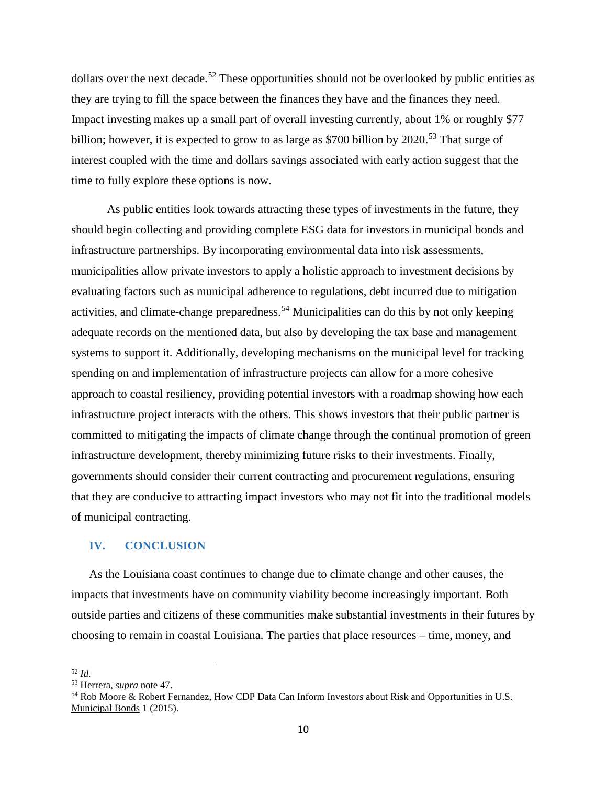dollars over the next decade.<sup>[52](#page-9-0)</sup> These opportunities should not be overlooked by public entities as they are trying to fill the space between the finances they have and the finances they need. Impact investing makes up a small part of overall investing currently, about 1% or roughly \$77 billion; however, it is expected to grow to as large as \$700 billion by  $2020$ <sup>[53](#page-9-1)</sup>. That surge of interest coupled with the time and dollars savings associated with early action suggest that the time to fully explore these options is now.

As public entities look towards attracting these types of investments in the future, they should begin collecting and providing complete ESG data for investors in municipal bonds and infrastructure partnerships. By incorporating environmental data into risk assessments, municipalities allow private investors to apply a holistic approach to investment decisions by evaluating factors such as municipal adherence to regulations, debt incurred due to mitigation activities, and climate-change preparedness.<sup>[54](#page-9-2)</sup> Municipalities can do this by not only keeping adequate records on the mentioned data, but also by developing the tax base and management systems to support it. Additionally, developing mechanisms on the municipal level for tracking spending on and implementation of infrastructure projects can allow for a more cohesive approach to coastal resiliency, providing potential investors with a roadmap showing how each infrastructure project interacts with the others. This shows investors that their public partner is committed to mitigating the impacts of climate change through the continual promotion of green infrastructure development, thereby minimizing future risks to their investments. Finally, governments should consider their current contracting and procurement regulations, ensuring that they are conducive to attracting impact investors who may not fit into the traditional models of municipal contracting.

## **IV. CONCLUSION**

As the Louisiana coast continues to change due to climate change and other causes, the impacts that investments have on community viability become increasingly important. Both outside parties and citizens of these communities make substantial investments in their futures by choosing to remain in coastal Louisiana. The parties that place resources – time, money, and

<sup>52</sup> *Id.* 

<span id="page-9-2"></span><span id="page-9-1"></span><span id="page-9-0"></span><sup>&</sup>lt;sup>53</sup> Herrera, *supra* note 47.<br><sup>54</sup> Rob Moore & Robert Fernandez, How CDP Data Can Inform Investors about Risk and Opportunities in U.S. Municipal Bonds 1 (2015).